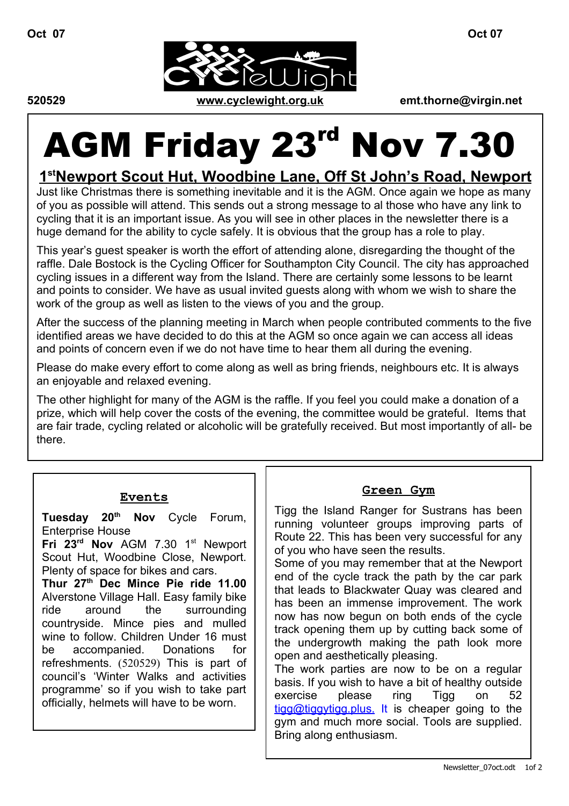

# AGM Friday 23<sup>rd</sup> Nov 7.30

# **1 st N ewport Scout Hut, Woodbine Lane, Off St John's Road, Newport**

Just like Christmas there is something inevitable and it is the AGM. Once again we hope as many of you as possible will attend. This sends out a strong message to al those who have any link to cycling that it is an important issue. As you will see in other places in the newsletter there is a huge demand for the ability to cycle safely. It is obvious that the group has a role to play.

This year's guest speaker is worth the effort of attending alone, disregarding the thought of the raffle. Dale Bostock is the Cycling Officer for Southampton City Council. The city has approached cycling issues in a different way from the Island. There are certainly some lessons to be learnt and points to consider. We have as usual invited guests along with whom we wish to share the work of the group as well as listen to the views of you and the group.

After the success of the planning meeting in March when people contributed comments to the five identified areas we have decided to do this at the AGM so once again we can access all ideas and points of concern even if we do not have time to hear them all during the evening.

Please do make every effort to come along as well as bring friends, neighbours etc. It is always an enjoyable and relaxed evening.

The other highlight for many of the AGM is the raffle. If you feel you could make a donation of a prize, which will help cover the costs of the evening, the committee would be grateful. Items that are fair trade, cycling related or alcoholic will be gratefully received. But most importantly of all- be there.

#### **Events**

**Tuesday 20 th Nov** Cycle Forum, Enterprise House

**Fri 23 rd Nov** AGM 7.30 1 st Newport Scout Hut, Woodbine Close, Newport. Plenty of space for bikes and cars.

**Thur 27 th Dec Mince Pie ride 11.00** Alverstone Village Hall. Easy family bike ride around the surrounding countryside. Mince pies and mulled wine to follow. Children Under 16 must be accompanied. Donations for refreshments. (520529) This is part of council's 'Winter Walks and activities programme' so if you wish to take part officially, helmets will have to be worn.

#### **Green Gym**

Tigg the Island Ranger for Sustrans has been running volunteer groups improving parts of Route 22. This has been very successful for any of you who have seen the results.

Some of you may remember that at the Newport end of the cycle track the path by the car park that leads to Blackwater Quay was cleared and has been an immense improvement. The work now has now begun on both ends of the cycle track opening them up by cutting back some of the undergrowth making the path look more open and aesthetically pleasing.

The work parties are now to be on a regular basis. If you wish to have a bit of healthy outside exercise please ring Tigg on 52 [tigg@tiggytigg.plus.](mailto:tigg@tiggytigg.plus. It) [It](mailto:tigg@tiggytigg.plus. It) is cheaper going to the gym and much more social. Tools are supplied. Bring along enthusiasm.